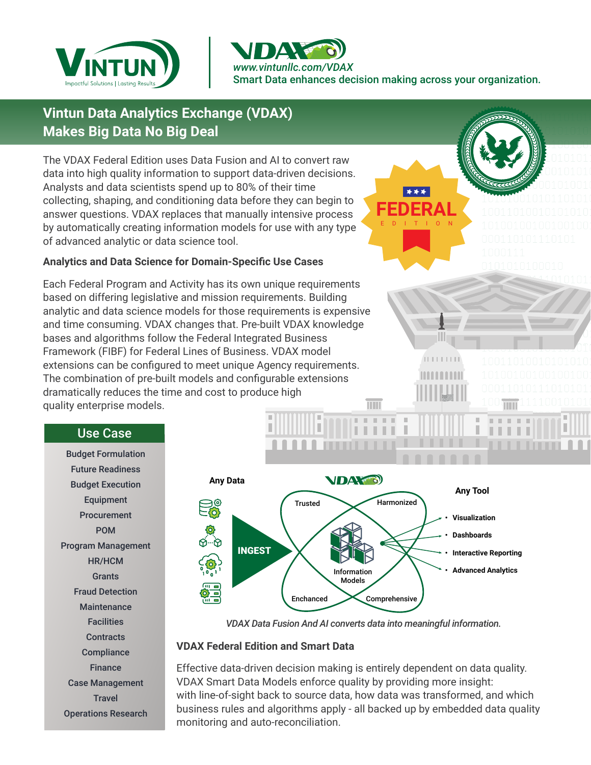

*www.vintunllc.com/VDAX* Smart Data enhances decision making across your organization.

## **Vintun Data Analytics Exchange (VDAX) Makes Big Data No Big Deal**

The VDAX Federal Edition uses Data Fusion and AI to convert raw data into high quality information to support data-driven decisions. Analysts and data scientists spend up to 80% of their time collecting, shaping, and conditioning data before they can begin to answer questions. VDAX replaces that manually intensive process by automatically creating information models for use with any type of advanced analytic or data science tool.

### **Analytics and Data Science for Domain-Specific Use Cases**

Each Federal Program and Activity has its own unique requirements based on differing legislative and mission requirements. Building analytic and data science models for those requirements is expensive and time consuming. VDAX changes that. Pre-built VDAX knowledge bases and algorithms follow the Federal Integrated Business Framework (FIBF) for Federal Lines of Business. VDAX model extensions can be configured to meet unique Agency requirements. The combination of pre-built models and configurable extensions dramatically reduces the time and cost to produce high quality enterprise models.



**FEDERAL** EDITIO N

## Use Case

Budget Formulation Future Readiness Budget Execution Equipment Procurement POM Program Management HR/HCM **Grants** Fraud Detection **Maintenance Facilities Contracts Compliance** Finance Case Management **Travel** Operations Research



*VDAX Data Fusion And AI converts data into meaningful information.*

### **VDAX Federal Edition and Smart Data**

Effective data-driven decision making is entirely dependent on data quality. VDAX Smart Data Models enforce quality by providing more insight: with line-of-sight back to source data, how data was transformed, and which business rules and algorithms apply - all backed up by embedded data quality monitoring and auto-reconciliation.